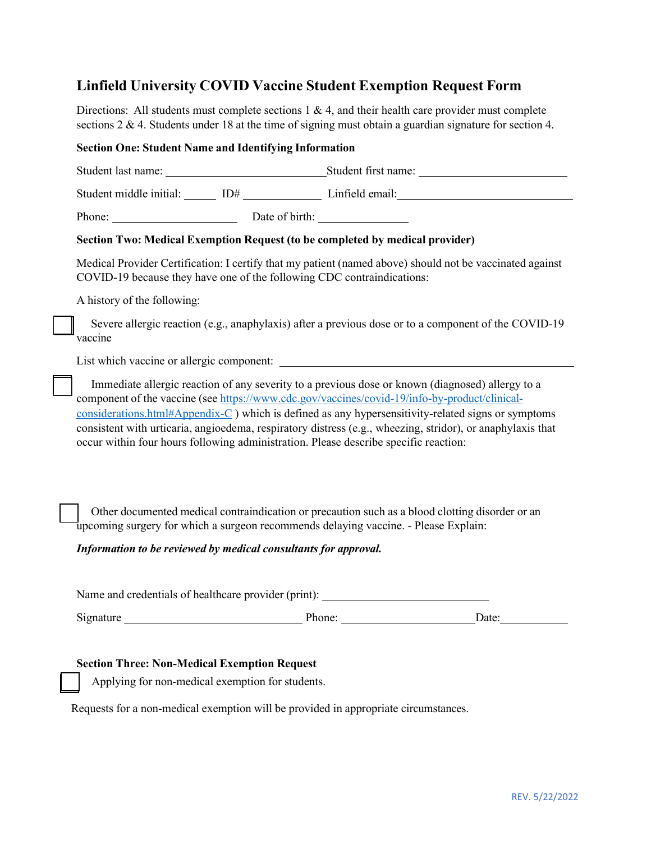# **Linfield University COVID Vaccine Student Exemption Request Form**

Directions: All students must complete sections 1 & 4, and their health care provider must complete sections 2 & 4. Students under 18 at the time of signing must obtain a guardian signature for section 4.

## **Section One: Student Name and Identifying Information**

| Student last name:      |                | Student first name: |
|-------------------------|----------------|---------------------|
| Student middle initial: | ID#            | Linfield email:     |
| Phone:                  | Date of birth: |                     |

# **Section Two: Medical Exemption Request (to be completed by medical provider)**

Medical Provider Certification: I certify that my patient (named above) should not be vaccinated against COVID-19 because they have one of the following CDC contraindications:

A history of the following:

Severe allergic reaction (e.g., anaphylaxis) after a previous dose or to a component of the COVID-19 vaccine

List which vaccine or allergic component:

Immediate allergic reaction of any severity to a previous dose or known (diagnosed) allergy to a component of the vaccine (see https://www.cdc.gov/vaccines/covid-19/info-by-product/clinicalconsiderations.html#Appendix-C ) which is defined as any hypersensitivity-related signs or symptoms consistent with urticaria, angioedema, respiratory distress (e.g., wheezing, stridor), or anaphylaxis that occur within four hours following administration. Please describe specific reaction:

Other documented medical contraindication or precaution such as a blood clotting disorder or an upcoming surgery for which a surgeon recommends delaying vaccine. - Please Explain:

## *Information to be reviewed by medical consultants for approval.*

Name and credentials of healthcare provider (print):

Signature Date: Detection Phone: Date: Date: Date:

## **Section Three: Non-Medical Exemption Request**

Applying for non-medical exemption for students.

Requests for a non-medical exemption will be provided in appropriate circumstances.